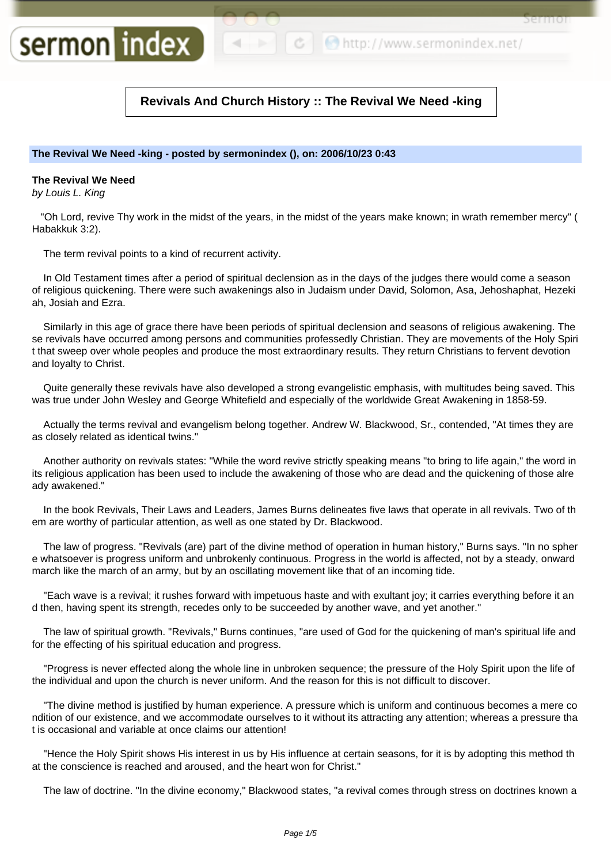**← ● http://www.sermonindex.net/** 

erinoi

# **Revivals And Church History :: The Revival We Need -king**

# **The Revival We Need -king - posted by sermonindex (), on: 2006/10/23 0:43**

# **The Revival We Need**

sermon index

by Louis L. King

"Oh Lord, revive Thy work in the midst of the years, in the midst of the years make known; in wrath remember mercy" ( Habakkuk 3:2).

The term revival points to a kind of recurrent activity.

In Old Testament times after a period of spiritual declension as in the days of the judges there would come a season of religious quickening. There were such awakenings also in Judaism under David, Solomon, Asa, Jehoshaphat, Hezeki ah, Josiah and Ezra.

Similarly in this age of grace there have been periods of spiritual declension and seasons of religious awakening. The se revivals have occurred among persons and communities professedly Christian. They are movements of the Holy Spiri t that sweep over whole peoples and produce the most extraordinary results. They return Christians to fervent devotion and loyalty to Christ.

Quite generally these revivals have also developed a strong evangelistic emphasis, with multitudes being saved. This was true under John Wesley and George Whitefield and especially of the worldwide Great Awakening in 1858-59.

Actually the terms revival and evangelism belong together. Andrew W. Blackwood, Sr., contended, "At times they are as closely related as identical twins."

Another authority on revivals states: "While the word revive strictly speaking means "to bring to life again," the word in its religious application has been used to include the awakening of those who are dead and the quickening of those alre ady awakened."

In the book Revivals, Their Laws and Leaders, James Burns delineates five laws that operate in all revivals. Two of th em are worthy of particular attention, as well as one stated by Dr. Blackwood.

The law of progress. "Revivals (are) part of the divine method of operation in human history," Burns says. "In no spher e whatsoever is progress uniform and unbrokenly continuous. Progress in the world is affected, not by a steady, onward march like the march of an army, but by an oscillating movement like that of an incoming tide.

"Each wave is a revival; it rushes forward with impetuous haste and with exultant joy; it carries everything before it an d then, having spent its strength, recedes only to be succeeded by another wave, and yet another."

The law of spiritual growth. "Revivals," Burns continues, "are used of God for the quickening of man's spiritual life and for the effecting of his spiritual education and progress.

"Progress is never effected along the whole line in unbroken sequence; the pressure of the Holy Spirit upon the life of the individual and upon the church is never uniform. And the reason for this is not difficult to discover.

"The divine method is justified by human experience. A pressure which is uniform and continuous becomes a mere co ndition of our existence, and we accommodate ourselves to it without its attracting any attention; whereas a pressure tha t is occasional and variable at once claims our attention!

"Hence the Holy Spirit shows His interest in us by His influence at certain seasons, for it is by adopting this method th at the conscience is reached and aroused, and the heart won for Christ."

The law of doctrine. "In the divine economy," Blackwood states, "a revival comes through stress on doctrines known a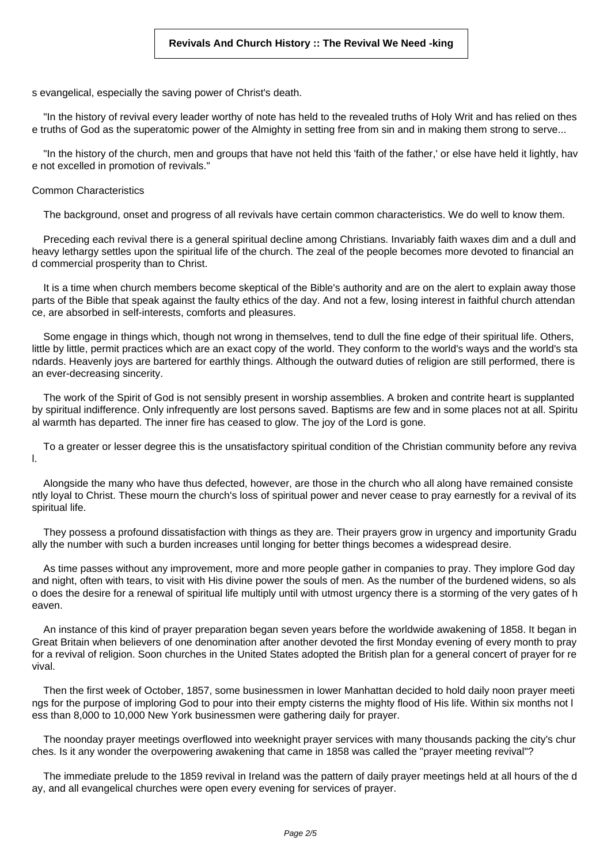s evangelical, especially the saving power of Christ's death.

"In the history of revival every leader worthy of note has held to the revealed truths of Holy Writ and has relied on thes e truths of God as the superatomic power of the Almighty in setting free from sin and in making them strong to serve...

"In the history of the church, men and groups that have not held this 'faith of the father,' or else have held it lightly, hav e not excelled in promotion of revivals."

### Common Characteristics

The background, onset and progress of all revivals have certain common characteristics. We do well to know them.

Preceding each revival there is a general spiritual decline among Christians. Invariably faith waxes dim and a dull and heavy lethargy settles upon the spiritual life of the church. The zeal of the people becomes more devoted to financial an d commercial prosperity than to Christ.

It is a time when church members become skeptical of the Bible's authority and are on the alert to explain away those parts of the Bible that speak against the faulty ethics of the day. And not a few, losing interest in faithful church attendan ce, are absorbed in self-interests, comforts and pleasures.

Some engage in things which, though not wrong in themselves, tend to dull the fine edge of their spiritual life. Others, little by little, permit practices which are an exact copy of the world. They conform to the world's ways and the world's sta ndards. Heavenly joys are bartered for earthly things. Although the outward duties of religion are still performed, there is an ever-decreasing sincerity.

The work of the Spirit of God is not sensibly present in worship assemblies. A broken and contrite heart is supplanted by spiritual indifference. Only infrequently are lost persons saved. Baptisms are few and in some places not at all. Spiritu al warmth has departed. The inner fire has ceased to glow. The joy of the Lord is gone.

To a greater or lesser degree this is the unsatisfactory spiritual condition of the Christian community before any reviva l.

Alongside the many who have thus defected, however, are those in the church who all along have remained consiste ntly loyal to Christ. These mourn the church's loss of spiritual power and never cease to pray earnestly for a revival of its spiritual life.

They possess a profound dissatisfaction with things as they are. Their prayers grow in urgency and importunity Gradu ally the number with such a burden increases until longing for better things becomes a widespread desire.

As time passes without any improvement, more and more people gather in companies to pray. They implore God day and night, often with tears, to visit with His divine power the souls of men. As the number of the burdened widens, so als o does the desire for a renewal of spiritual life multiply until with utmost urgency there is a storming of the very gates of h eaven.

An instance of this kind of prayer preparation began seven years before the worldwide awakening of 1858. It began in Great Britain when believers of one denomination after another devoted the first Monday evening of every month to pray for a revival of religion. Soon churches in the United States adopted the British plan for a general concert of prayer for re vival.

Then the first week of October, 1857, some businessmen in lower Manhattan decided to hold daily noon prayer meeti ngs for the purpose of imploring God to pour into their empty cisterns the mighty flood of His life. Within six months not l ess than 8,000 to 10,000 New York businessmen were gathering daily for prayer.

The noonday prayer meetings overflowed into weeknight prayer services with many thousands packing the city's chur ches. Is it any wonder the overpowering awakening that came in 1858 was called the "prayer meeting revival"?

The immediate prelude to the 1859 revival in Ireland was the pattern of daily prayer meetings held at all hours of the d ay, and all evangelical churches were open every evening for services of prayer.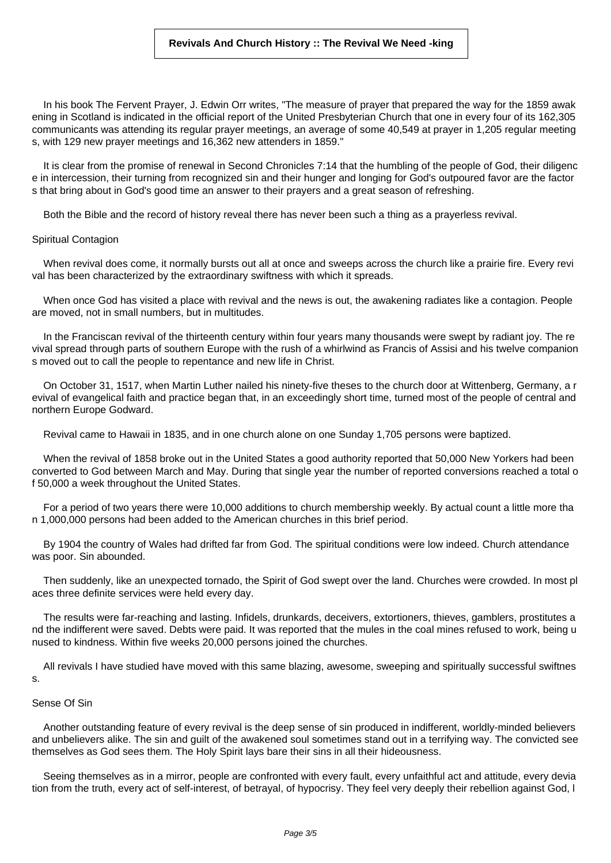In his book The Fervent Prayer, J. Edwin Orr writes, "The measure of prayer that prepared the way for the 1859 awak ening in Scotland is indicated in the official report of the United Presbyterian Church that one in every four of its 162,305 communicants was attending its regular prayer meetings, an average of some 40,549 at prayer in 1,205 regular meeting s, with 129 new prayer meetings and 16,362 new attenders in 1859."

It is clear from the promise of renewal in Second Chronicles 7:14 that the humbling of the people of God, their diligenc e in intercession, their turning from recognized sin and their hunger and longing for God's outpoured favor are the factor s that bring about in God's good time an answer to their prayers and a great season of refreshing.

Both the Bible and the record of history reveal there has never been such a thing as a prayerless revival.

## Spiritual Contagion

When revival does come, it normally bursts out all at once and sweeps across the church like a prairie fire. Every revi val has been characterized by the extraordinary swiftness with which it spreads.

When once God has visited a place with revival and the news is out, the awakening radiates like a contagion. People are moved, not in small numbers, but in multitudes.

In the Franciscan revival of the thirteenth century within four years many thousands were swept by radiant joy. The re vival spread through parts of southern Europe with the rush of a whirlwind as Francis of Assisi and his twelve companion s moved out to call the people to repentance and new life in Christ.

On October 31, 1517, when Martin Luther nailed his ninety-five theses to the church door at Wittenberg, Germany, a r evival of evangelical faith and practice began that, in an exceedingly short time, turned most of the people of central and northern Europe Godward.

Revival came to Hawaii in 1835, and in one church alone on one Sunday 1,705 persons were baptized.

When the revival of 1858 broke out in the United States a good authority reported that 50,000 New Yorkers had been converted to God between March and May. During that single year the number of reported conversions reached a total o f 50,000 a week throughout the United States.

For a period of two years there were 10,000 additions to church membership weekly. By actual count a little more tha n 1,000,000 persons had been added to the American churches in this brief period.

By 1904 the country of Wales had drifted far from God. The spiritual conditions were low indeed. Church attendance was poor. Sin abounded.

Then suddenly, like an unexpected tornado, the Spirit of God swept over the land. Churches were crowded. In most pl aces three definite services were held every day.

The results were far-reaching and lasting. Infidels, drunkards, deceivers, extortioners, thieves, gamblers, prostitutes a nd the indifferent were saved. Debts were paid. It was reported that the mules in the coal mines refused to work, being u nused to kindness. Within five weeks 20,000 persons joined the churches.

All revivals I have studied have moved with this same blazing, awesome, sweeping and spiritually successful swiftnes s.

## Sense Of Sin

Another outstanding feature of every revival is the deep sense of sin produced in indifferent, worldly-minded believers and unbelievers alike. The sin and guilt of the awakened soul sometimes stand out in a terrifying way. The convicted see themselves as God sees them. The Holy Spirit lays bare their sins in all their hideousness.

Seeing themselves as in a mirror, people are confronted with every fault, every unfaithful act and attitude, every devia tion from the truth, every act of self-interest, of betrayal, of hypocrisy. They feel very deeply their rebellion against God, l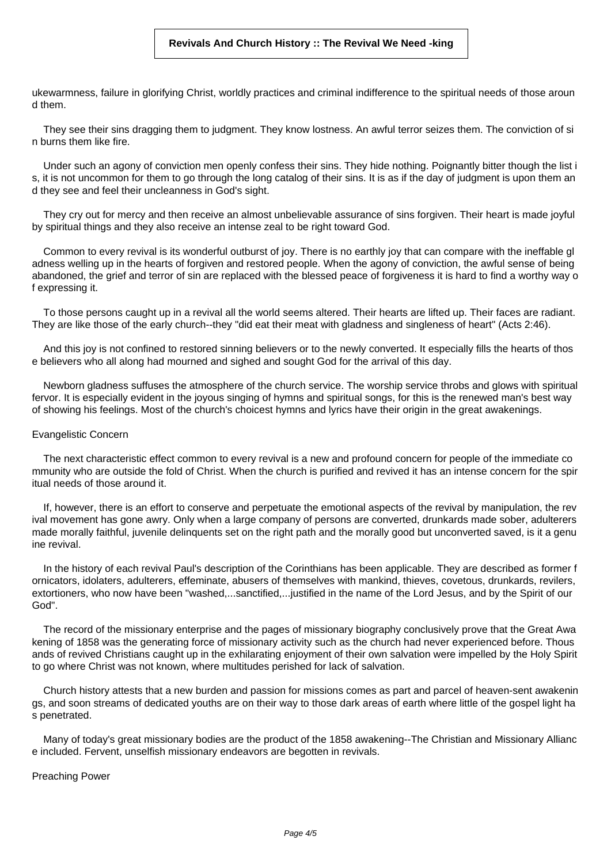ukewarmness, failure in glorifying Christ, worldly practices and criminal indifference to the spiritual needs of those aroun d them.

They see their sins dragging them to judgment. They know lostness. An awful terror seizes them. The conviction of si n burns them like fire.

Under such an agony of conviction men openly confess their sins. They hide nothing. Poignantly bitter though the list i s, it is not uncommon for them to go through the long catalog of their sins. It is as if the day of judgment is upon them an d they see and feel their uncleanness in God's sight.

They cry out for mercy and then receive an almost unbelievable assurance of sins forgiven. Their heart is made joyful by spiritual things and they also receive an intense zeal to be right toward God.

Common to every revival is its wonderful outburst of joy. There is no earthly joy that can compare with the ineffable gl adness welling up in the hearts of forgiven and restored people. When the agony of conviction, the awful sense of being abandoned, the grief and terror of sin are replaced with the blessed peace of forgiveness it is hard to find a worthy way o f expressing it.

To those persons caught up in a revival all the world seems altered. Their hearts are lifted up. Their faces are radiant. They are like those of the early church--they "did eat their meat with gladness and singleness of heart" (Acts 2:46).

And this joy is not confined to restored sinning believers or to the newly converted. It especially fills the hearts of thos e believers who all along had mourned and sighed and sought God for the arrival of this day.

Newborn gladness suffuses the atmosphere of the church service. The worship service throbs and glows with spiritual fervor. It is especially evident in the joyous singing of hymns and spiritual songs, for this is the renewed man's best way of showing his feelings. Most of the church's choicest hymns and lyrics have their origin in the great awakenings.

#### Evangelistic Concern

The next characteristic effect common to every revival is a new and profound concern for people of the immediate co mmunity who are outside the fold of Christ. When the church is purified and revived it has an intense concern for the spir itual needs of those around it.

If, however, there is an effort to conserve and perpetuate the emotional aspects of the revival by manipulation, the rev ival movement has gone awry. Only when a large company of persons are converted, drunkards made sober, adulterers made morally faithful, juvenile delinquents set on the right path and the morally good but unconverted saved, is it a genu ine revival.

In the history of each revival Paul's description of the Corinthians has been applicable. They are described as former f ornicators, idolaters, adulterers, effeminate, abusers of themselves with mankind, thieves, covetous, drunkards, revilers, extortioners, who now have been "washed....sanctified....iustified in the name of the Lord Jesus, and by the Spirit of our God".

The record of the missionary enterprise and the pages of missionary biography conclusively prove that the Great Awa kening of 1858 was the generating force of missionary activity such as the church had never experienced before. Thous ands of revived Christians caught up in the exhilarating enjoyment of their own salvation were impelled by the Holy Spirit to go where Christ was not known, where multitudes perished for lack of salvation.

Church history attests that a new burden and passion for missions comes as part and parcel of heaven-sent awakenin gs, and soon streams of dedicated youths are on their way to those dark areas of earth where little of the gospel light ha s penetrated.

Many of today's great missionary bodies are the product of the 1858 awakening--The Christian and Missionary Allianc e included. Fervent, unselfish missionary endeavors are begotten in revivals.

#### Preaching Power